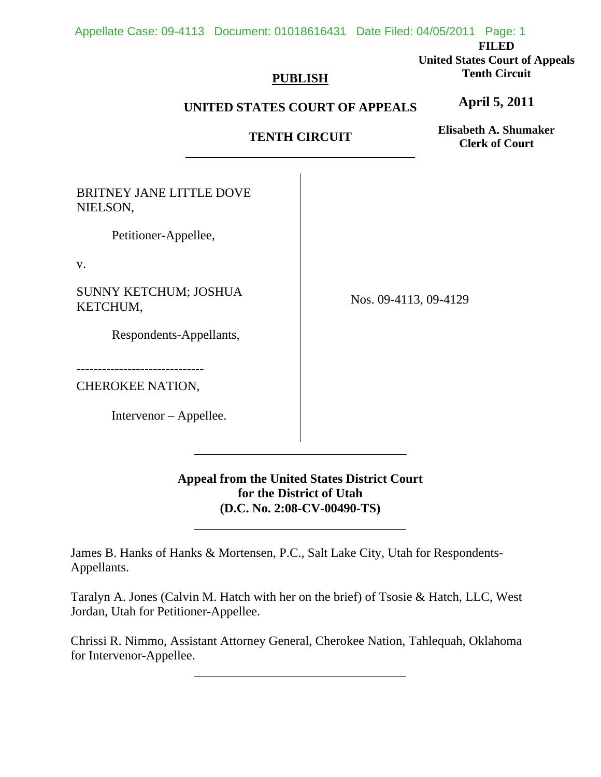#### Appellate Case: 09-4113 Document: 01018616431 Date Filed: 04/05/2011 Page: 1

**FILED** 

**United States Court of Appeals Tenth Circuit** 

## **PUBLISH**

## **UNITED STATES COURT OF APPEALS**

## **TENTH CIRCUIT**

**Elisabeth A. Shumaker Clerk of Court**

**April 5, 2011**

BRITNEY JANE LITTLE DOVE NIELSON,

Petitioner-Appellee,

v.

SUNNY KETCHUM; JOSHUA KETCHUM,

Respondents-Appellants,

------------------------------

CHEROKEE NATION,

Intervenor – Appellee.

 $\overline{a}$ 

l

Nos. 09-4113, 09-4129

**Appeal from the United States District Court for the District of Utah (D.C. No. 2:08-CV-00490-TS)**

James B. Hanks of Hanks & Mortensen, P.C., Salt Lake City, Utah for Respondents-Appellants.

Taralyn A. Jones (Calvin M. Hatch with her on the brief) of Tsosie & Hatch, LLC, West Jordan, Utah for Petitioner-Appellee.

Chrissi R. Nimmo, Assistant Attorney General, Cherokee Nation, Tahlequah, Oklahoma for Intervenor-Appellee.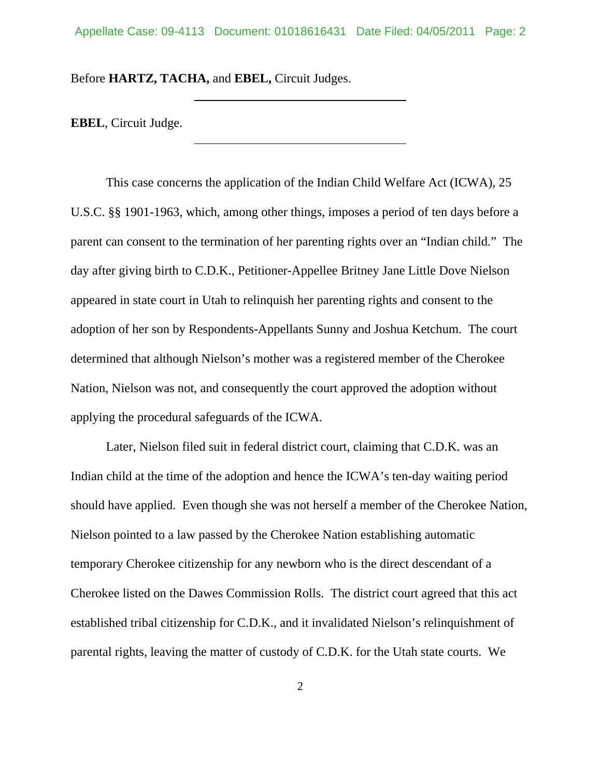Before **HARTZ, TACHA,** and **EBEL,** Circuit Judges.

 $\overline{a}$ 

**EBEL**, Circuit Judge.

 This case concerns the application of the Indian Child Welfare Act (ICWA), 25 U.S.C. §§ 1901-1963, which, among other things, imposes a period of ten days before a parent can consent to the termination of her parenting rights over an "Indian child." The day after giving birth to C.D.K., Petitioner-Appellee Britney Jane Little Dove Nielson appeared in state court in Utah to relinquish her parenting rights and consent to the adoption of her son by Respondents-Appellants Sunny and Joshua Ketchum. The court determined that although Nielson's mother was a registered member of the Cherokee Nation, Nielson was not, and consequently the court approved the adoption without applying the procedural safeguards of the ICWA.

 Later, Nielson filed suit in federal district court, claiming that C.D.K. was an Indian child at the time of the adoption and hence the ICWA's ten-day waiting period should have applied. Even though she was not herself a member of the Cherokee Nation, Nielson pointed to a law passed by the Cherokee Nation establishing automatic temporary Cherokee citizenship for any newborn who is the direct descendant of a Cherokee listed on the Dawes Commission Rolls. The district court agreed that this act established tribal citizenship for C.D.K., and it invalidated Nielson's relinquishment of parental rights, leaving the matter of custody of C.D.K. for the Utah state courts. We

2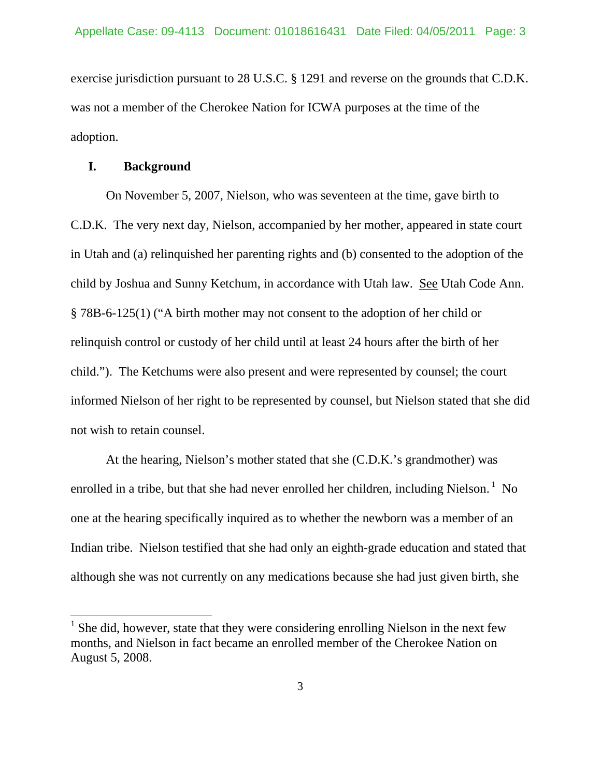exercise jurisdiction pursuant to 28 U.S.C. § 1291 and reverse on the grounds that C.D.K. was not a member of the Cherokee Nation for ICWA purposes at the time of the adoption.

#### **I. Background**

 $\overline{a}$ 

On November 5, 2007, Nielson, who was seventeen at the time, gave birth to C.D.K. The very next day, Nielson, accompanied by her mother, appeared in state court in Utah and (a) relinquished her parenting rights and (b) consented to the adoption of the child by Joshua and Sunny Ketchum, in accordance with Utah law. See Utah Code Ann. § 78B-6-125(1) ("A birth mother may not consent to the adoption of her child or relinquish control or custody of her child until at least 24 hours after the birth of her child."). The Ketchums were also present and were represented by counsel; the court informed Nielson of her right to be represented by counsel, but Nielson stated that she did not wish to retain counsel.

 At the hearing, Nielson's mother stated that she (C.D.K.'s grandmother) was enrolled in a tribe, but that she had never enrolled her children, including Nielson.  $\frac{1}{1}$  No one at the hearing specifically inquired as to whether the newborn was a member of an Indian tribe. Nielson testified that she had only an eighth-grade education and stated that although she was not currently on any medications because she had just given birth, she

 $<sup>1</sup>$  She did, however, state that they were considering enrolling Nielson in the next few</sup> months, and Nielson in fact became an enrolled member of the Cherokee Nation on August 5, 2008.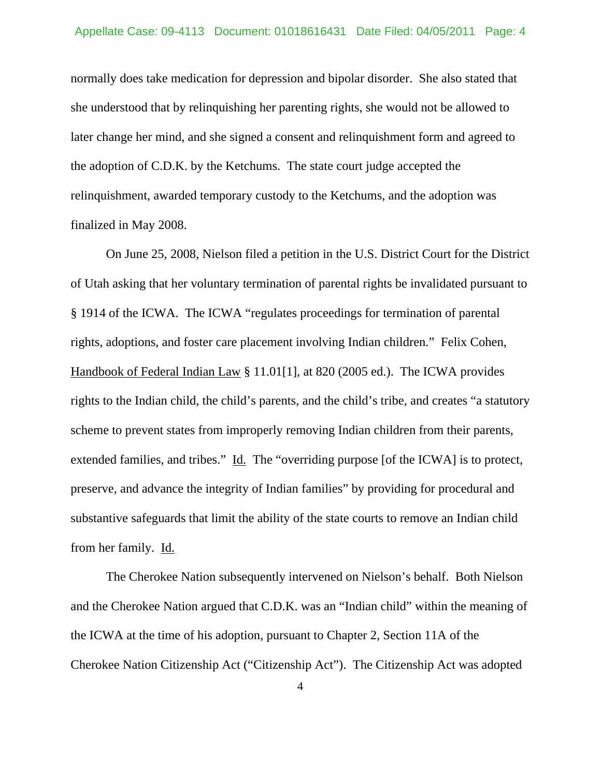normally does take medication for depression and bipolar disorder. She also stated that she understood that by relinquishing her parenting rights, she would not be allowed to later change her mind, and she signed a consent and relinquishment form and agreed to the adoption of C.D.K. by the Ketchums.The state court judge accepted the relinquishment, awarded temporary custody to the Ketchums, and the adoption was finalized in May 2008.

 On June 25, 2008, Nielson filed a petition in the U.S. District Court for the District of Utah asking that her voluntary termination of parental rights be invalidated pursuant to § 1914 of the ICWA. The ICWA "regulates proceedings for termination of parental rights, adoptions, and foster care placement involving Indian children." Felix Cohen, Handbook of Federal Indian Law § 11.01[1], at 820 (2005 ed.). The ICWA provides rights to the Indian child, the child's parents, and the child's tribe, and creates "a statutory scheme to prevent states from improperly removing Indian children from their parents, extended families, and tribes." Id. The "overriding purpose [of the ICWA] is to protect, preserve, and advance the integrity of Indian families" by providing for procedural and substantive safeguards that limit the ability of the state courts to remove an Indian child from her family. Id.

 The Cherokee Nation subsequently intervened on Nielson's behalf. Both Nielson and the Cherokee Nation argued that C.D.K. was an "Indian child" within the meaning of the ICWA at the time of his adoption, pursuant to Chapter 2, Section 11A of the Cherokee Nation Citizenship Act ("Citizenship Act"). The Citizenship Act was adopted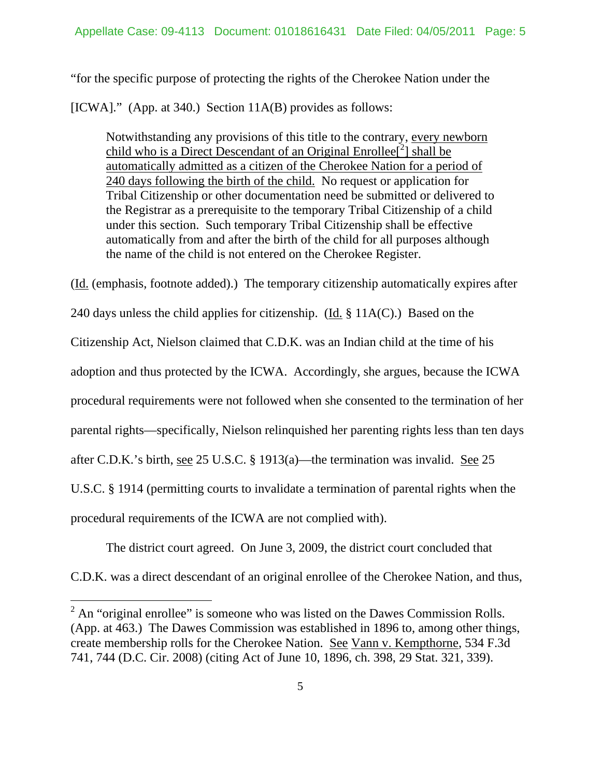"for the specific purpose of protecting the rights of the Cherokee Nation under the

[ICWA]." (App. at 340.) Section 11A(B) provides as follows:

Notwithstanding any provisions of this title to the contrary, every newborn child who is a Direct Descendant of an Original Enrollee<sup>[2</sup>] shall be automatically admitted as a citizen of the Cherokee Nation for a period of 240 days following the birth of the child. No request or application for Tribal Citizenship or other documentation need be submitted or delivered to the Registrar as a prerequisite to the temporary Tribal Citizenship of a child under this section. Such temporary Tribal Citizenship shall be effective automatically from and after the birth of the child for all purposes although the name of the child is not entered on the Cherokee Register.

(Id. (emphasis, footnote added).) The temporary citizenship automatically expires after 240 days unless the child applies for citizenship. (Id. § 11A(C).) Based on the Citizenship Act, Nielson claimed that C.D.K. was an Indian child at the time of his adoption and thus protected by the ICWA. Accordingly, she argues, because the ICWA procedural requirements were not followed when she consented to the termination of her parental rights—specifically, Nielson relinquished her parenting rights less than ten days after C.D.K.'s birth, see 25 U.S.C. § 1913(a)—the termination was invalid. See 25 U.S.C. § 1914 (permitting courts to invalidate a termination of parental rights when the procedural requirements of the ICWA are not complied with).

The district court agreed. On June 3, 2009, the district court concluded that

C.D.K. was a direct descendant of an original enrollee of the Cherokee Nation, and thus,

 $\overline{a}$ 

 $2^2$  An "original enrollee" is someone who was listed on the Dawes Commission Rolls. (App. at 463.)The Dawes Commission was established in 1896 to, among other things, create membership rolls for the Cherokee Nation. See Vann v. Kempthorne, 534 F.3d 741, 744 (D.C. Cir. 2008) (citing Act of June 10, 1896, ch. 398, 29 Stat. 321, 339).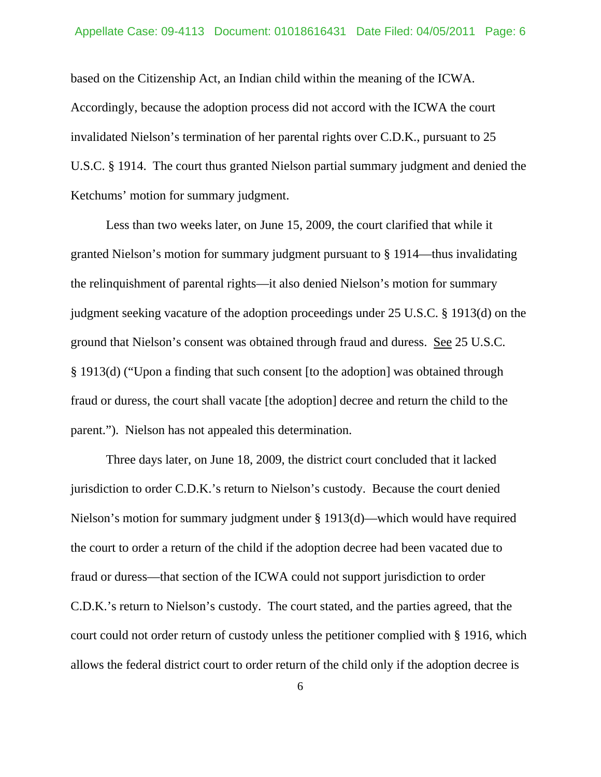based on the Citizenship Act, an Indian child within the meaning of the ICWA. Accordingly, because the adoption process did not accord with the ICWA the court invalidated Nielson's termination of her parental rights over C.D.K., pursuant to 25 U.S.C. § 1914. The court thus granted Nielson partial summary judgment and denied the Ketchums' motion for summary judgment.

 Less than two weeks later, on June 15, 2009, the court clarified that while it granted Nielson's motion for summary judgment pursuant to § 1914—thus invalidating the relinquishment of parental rights—it also denied Nielson's motion for summary judgment seeking vacature of the adoption proceedings under 25 U.S.C. § 1913(d) on the ground that Nielson's consent was obtained through fraud and duress. See 25 U.S.C. § 1913(d) ("Upon a finding that such consent [to the adoption] was obtained through fraud or duress, the court shall vacate [the adoption] decree and return the child to the parent."). Nielson has not appealed this determination.

 Three days later, on June 18, 2009, the district court concluded that it lacked jurisdiction to order C.D.K.'s return to Nielson's custody. Because the court denied Nielson's motion for summary judgment under § 1913(d)—which would have required the court to order a return of the child if the adoption decree had been vacated due to fraud or duress—that section of the ICWA could not support jurisdiction to order C.D.K.'s return to Nielson's custody. The court stated, and the parties agreed, that the court could not order return of custody unless the petitioner complied with § 1916, which allows the federal district court to order return of the child only if the adoption decree is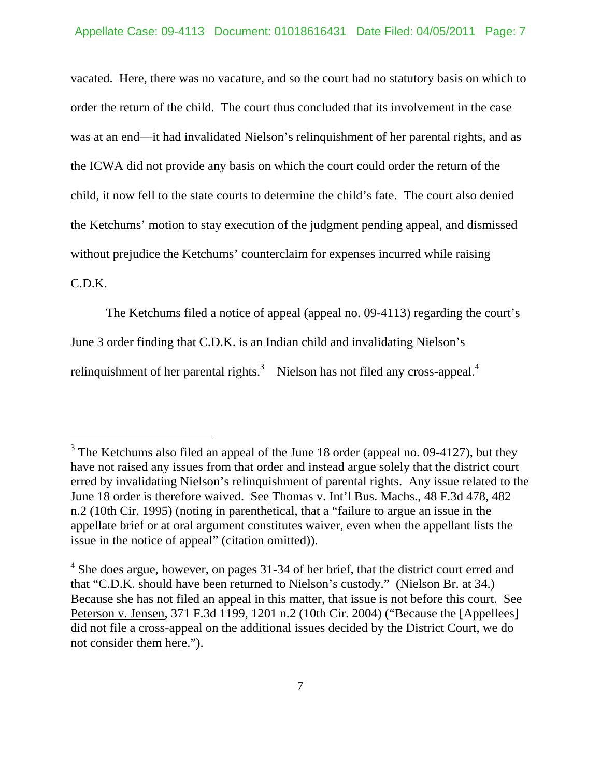vacated. Here, there was no vacature, and so the court had no statutory basis on which to order the return of the child. The court thus concluded that its involvement in the case was at an end—it had invalidated Nielson's relinquishment of her parental rights, and as the ICWA did not provide any basis on which the court could order the return of the child, it now fell to the state courts to determine the child's fate. The court also denied the Ketchums' motion to stay execution of the judgment pending appeal, and dismissed without prejudice the Ketchums' counterclaim for expenses incurred while raising

### C.D.K.

 $\overline{a}$ 

The Ketchums filed a notice of appeal (appeal no. 09-4113) regarding the court's

June 3 order finding that C.D.K. is an Indian child and invalidating Nielson's

relinquishment of her parental rights. $3$  Nielson has not filed any cross-appeal.<sup>4</sup>

 $3$  The Ketchums also filed an appeal of the June 18 order (appeal no. 09-4127), but they have not raised any issues from that order and instead argue solely that the district court erred by invalidating Nielson's relinquishment of parental rights. Any issue related to the June 18 order is therefore waived. See Thomas v. Int'l Bus. Machs., 48 F.3d 478, 482 n.2 (10th Cir. 1995) (noting in parenthetical, that a "failure to argue an issue in the appellate brief or at oral argument constitutes waiver, even when the appellant lists the issue in the notice of appeal" (citation omitted)).

 $4$  She does argue, however, on pages 31-34 of her brief, that the district court erred and that "C.D.K. should have been returned to Nielson's custody." (Nielson Br. at 34.) Because she has not filed an appeal in this matter, that issue is not before this court. See Peterson v. Jensen, 371 F.3d 1199, 1201 n.2 (10th Cir. 2004) ("Because the [Appellees] did not file a cross-appeal on the additional issues decided by the District Court, we do not consider them here.").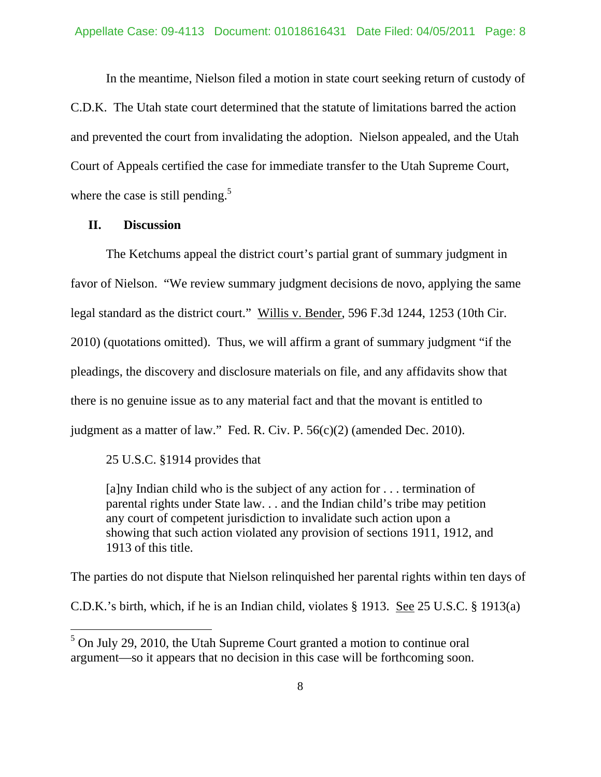In the meantime, Nielson filed a motion in state court seeking return of custody of C.D.K. The Utah state court determined that the statute of limitations barred the action and prevented the court from invalidating the adoption. Nielson appealed, and the Utah Court of Appeals certified the case for immediate transfer to the Utah Supreme Court, where the case is still pending.<sup>5</sup>

#### **II. Discussion**

 $\overline{a}$ 

 The Ketchums appeal the district court's partial grant of summary judgment in favor of Nielson. "We review summary judgment decisions de novo, applying the same legal standard as the district court." Willis v. Bender, 596 F.3d 1244, 1253 (10th Cir. 2010) (quotations omitted). Thus, we will affirm a grant of summary judgment "if the pleadings, the discovery and disclosure materials on file, and any affidavits show that there is no genuine issue as to any material fact and that the movant is entitled to judgment as a matter of law." Fed. R. Civ. P. 56(c)(2) (amended Dec. 2010).

25 U.S.C. §1914 provides that

[a]ny Indian child who is the subject of any action for . . . termination of parental rights under State law. . . and the Indian child's tribe may petition any court of competent jurisdiction to invalidate such action upon a showing that such action violated any provision of sections 1911, 1912, and 1913 of this title.

The parties do not dispute that Nielson relinquished her parental rights within ten days of

C.D.K.'s birth, which, if he is an Indian child, violates § 1913. See 25 U.S.C. § 1913(a)

 $<sup>5</sup>$  On July 29, 2010, the Utah Supreme Court granted a motion to continue oral</sup> argument—so it appears that no decision in this case will be forthcoming soon.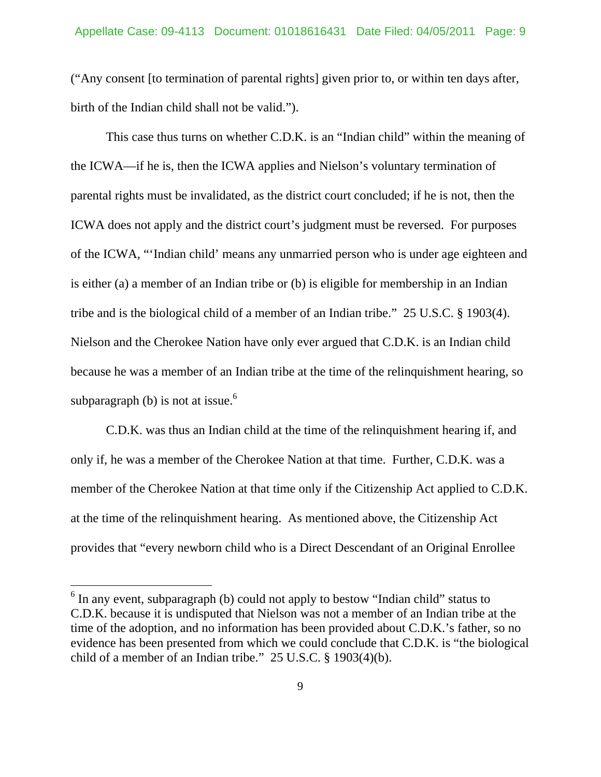("Any consent [to termination of parental rights] given prior to, or within ten days after, birth of the Indian child shall not be valid.").

 This case thus turns on whether C.D.K. is an "Indian child" within the meaning of the ICWA—if he is, then the ICWA applies and Nielson's voluntary termination of parental rights must be invalidated, as the district court concluded; if he is not, then the ICWA does not apply and the district court's judgment must be reversed. For purposes of the ICWA, "'Indian child' means any unmarried person who is under age eighteen and is either (a) a member of an Indian tribe or (b) is eligible for membership in an Indian tribe and is the biological child of a member of an Indian tribe." 25 U.S.C. § 1903(4). Nielson and the Cherokee Nation have only ever argued that C.D.K. is an Indian child because he was a member of an Indian tribe at the time of the relinquishment hearing, so subparagraph (b) is not at issue.<sup>6</sup>

 C.D.K. was thus an Indian child at the time of the relinquishment hearing if, and only if, he was a member of the Cherokee Nation at that time. Further, C.D.K. was a member of the Cherokee Nation at that time only if the Citizenship Act applied to C.D.K. at the time of the relinquishment hearing. As mentioned above, the Citizenship Act provides that "every newborn child who is a Direct Descendant of an Original Enrollee

 $\overline{a}$ 

<sup>&</sup>lt;sup>6</sup> In any event, subparagraph (b) could not apply to bestow "Indian child" status to C.D.K. because it is undisputed that Nielson was not a member of an Indian tribe at the time of the adoption, and no information has been provided about C.D.K.'s father, so no evidence has been presented from which we could conclude that C.D.K. is "the biological child of a member of an Indian tribe." 25 U.S.C. § 1903(4)(b).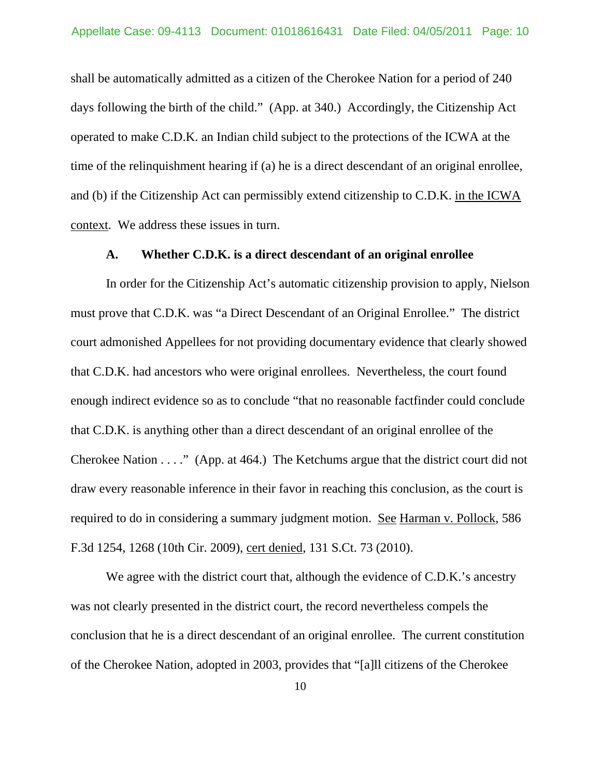shall be automatically admitted as a citizen of the Cherokee Nation for a period of 240 days following the birth of the child." (App. at 340.) Accordingly, the Citizenship Act operated to make C.D.K. an Indian child subject to the protections of the ICWA at the time of the relinquishment hearing if (a) he is a direct descendant of an original enrollee, and (b) if the Citizenship Act can permissibly extend citizenship to C.D.K. in the ICWA context. We address these issues in turn.

#### **A. Whether C.D.K. is a direct descendant of an original enrollee**

In order for the Citizenship Act's automatic citizenship provision to apply, Nielson must prove that C.D.K. was "a Direct Descendant of an Original Enrollee." The district court admonished Appellees for not providing documentary evidence that clearly showed that C.D.K. had ancestors who were original enrollees. Nevertheless, the court found enough indirect evidence so as to conclude "that no reasonable factfinder could conclude that C.D.K. is anything other than a direct descendant of an original enrollee of the Cherokee Nation . . . ." (App. at 464.) The Ketchums argue that the district court did not draw every reasonable inference in their favor in reaching this conclusion, as the court is required to do in considering a summary judgment motion. See Harman v. Pollock, 586 F.3d 1254, 1268 (10th Cir. 2009), cert denied, 131 S.Ct. 73 (2010).

We agree with the district court that, although the evidence of C.D.K.'s ancestry was not clearly presented in the district court, the record nevertheless compels the conclusion that he is a direct descendant of an original enrollee. The current constitution of the Cherokee Nation, adopted in 2003, provides that "[a]ll citizens of the Cherokee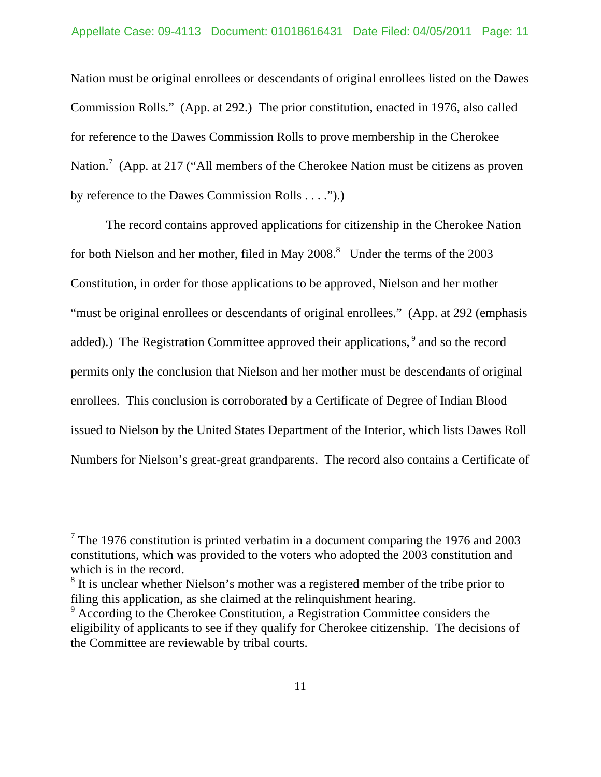Nation must be original enrollees or descendants of original enrollees listed on the Dawes Commission Rolls." (App. at 292.) The prior constitution, enacted in 1976, also called for reference to the Dawes Commission Rolls to prove membership in the Cherokee Nation.<sup>7</sup> (App. at 217 ("All members of the Cherokee Nation must be citizens as proven by reference to the Dawes Commission Rolls . . . .").)

 The record contains approved applications for citizenship in the Cherokee Nation for both Nielson and her mother, filed in May  $2008$ .<sup>8</sup> Under the terms of the  $2003$ Constitution, in order for those applications to be approved, Nielson and her mother "must be original enrollees or descendants of original enrollees." (App. at 292 (emphasis added).) The Registration Committee approved their applications,<sup>9</sup> and so the record permits only the conclusion that Nielson and her mother must be descendants of original enrollees. This conclusion is corroborated by a Certificate of Degree of Indian Blood issued to Nielson by the United States Department of the Interior, which lists Dawes Roll Numbers for Nielson's great-great grandparents. The record also contains a Certificate of

 $\overline{a}$ 

<sup>&</sup>lt;sup>7</sup> The 1976 constitution is printed verbatim in a document comparing the 1976 and 2003 constitutions, which was provided to the voters who adopted the 2003 constitution and which is in the record.

<sup>&</sup>lt;sup>8</sup> It is unclear whether Nielson's mother was a registered member of the tribe prior to filing this application, as she claimed at the relinquishment hearing.

<sup>&</sup>lt;sup>9</sup> According to the Cherokee Constitution, a Registration Committee considers the eligibility of applicants to see if they qualify for Cherokee citizenship. The decisions of the Committee are reviewable by tribal courts.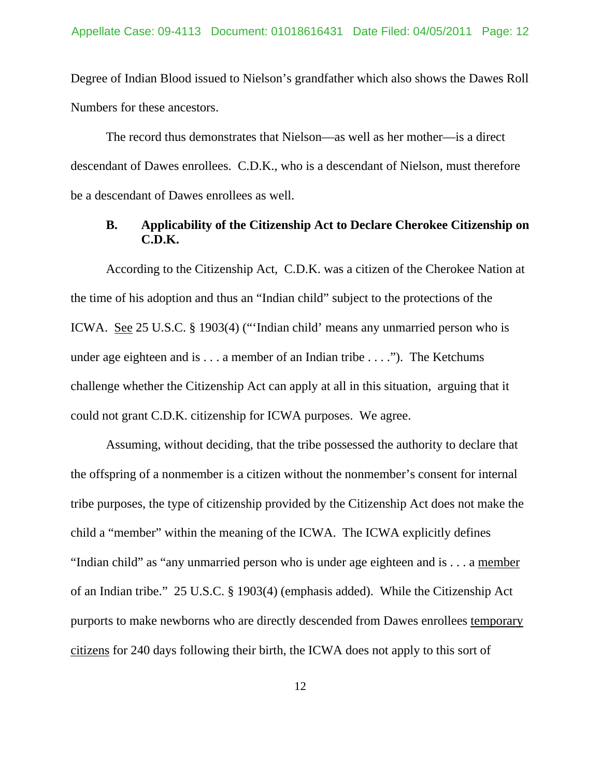Degree of Indian Blood issued to Nielson's grandfather which also shows the Dawes Roll Numbers for these ancestors.

 The record thus demonstrates that Nielson—as well as her mother—is a direct descendant of Dawes enrollees. C.D.K., who is a descendant of Nielson, must therefore be a descendant of Dawes enrollees as well.

### **B. Applicability of the Citizenship Act to Declare Cherokee Citizenship on C.D.K.**

 According to the Citizenship Act, C.D.K. was a citizen of the Cherokee Nation at the time of his adoption and thus an "Indian child" subject to the protections of the ICWA. See 25 U.S.C. § 1903(4) ("'Indian child' means any unmarried person who is under age eighteen and is  $\dots$  a member of an Indian tribe  $\dots$ ."). The Ketchums challenge whether the Citizenship Act can apply at all in this situation, arguing that it could not grant C.D.K. citizenship for ICWA purposes. We agree.

 Assuming, without deciding, that the tribe possessed the authority to declare that the offspring of a nonmember is a citizen without the nonmember's consent for internal tribe purposes, the type of citizenship provided by the Citizenship Act does not make the child a "member" within the meaning of the ICWA. The ICWA explicitly defines "Indian child" as "any unmarried person who is under age eighteen and is . . . a member of an Indian tribe." 25 U.S.C. § 1903(4) (emphasis added). While the Citizenship Act purports to make newborns who are directly descended from Dawes enrollees temporary citizens for 240 days following their birth, the ICWA does not apply to this sort of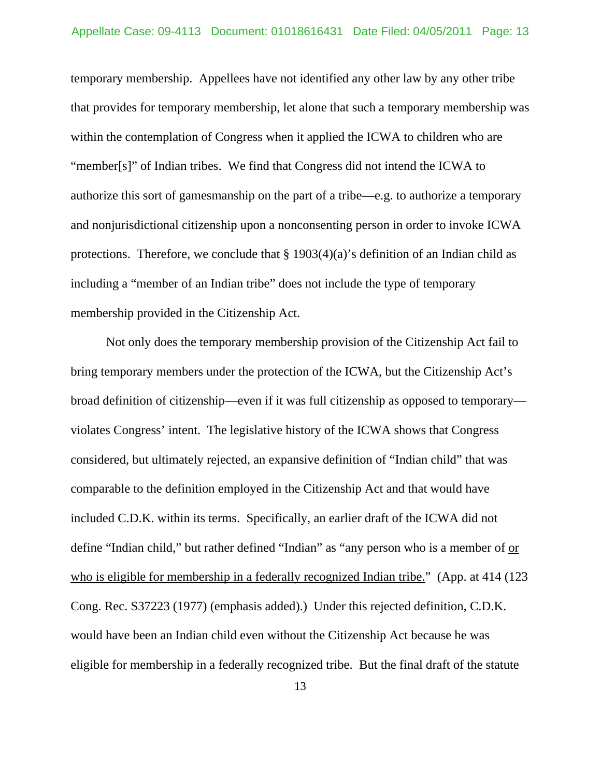temporary membership. Appellees have not identified any other law by any other tribe that provides for temporary membership, let alone that such a temporary membership was within the contemplation of Congress when it applied the ICWA to children who are "member[s]" of Indian tribes. We find that Congress did not intend the ICWA to authorize this sort of gamesmanship on the part of a tribe—e.g. to authorize a temporary and nonjurisdictional citizenship upon a nonconsenting person in order to invoke ICWA protections. Therefore, we conclude that  $\S 1903(4)(a)$ 's definition of an Indian child as including a "member of an Indian tribe" does not include the type of temporary membership provided in the Citizenship Act.

 Not only does the temporary membership provision of the Citizenship Act fail to bring temporary members under the protection of the ICWA, but the Citizenship Act's broad definition of citizenship—even if it was full citizenship as opposed to temporary violates Congress' intent. The legislative history of the ICWA shows that Congress considered, but ultimately rejected, an expansive definition of "Indian child" that was comparable to the definition employed in the Citizenship Act and that would have included C.D.K. within its terms. Specifically, an earlier draft of the ICWA did not define "Indian child," but rather defined "Indian" as "any person who is a member of <u>or</u> who is eligible for membership in a federally recognized Indian tribe." (App. at 414 (123) Cong. Rec. S37223 (1977) (emphasis added).) Under this rejected definition, C.D.K. would have been an Indian child even without the Citizenship Act because he was eligible for membership in a federally recognized tribe. But the final draft of the statute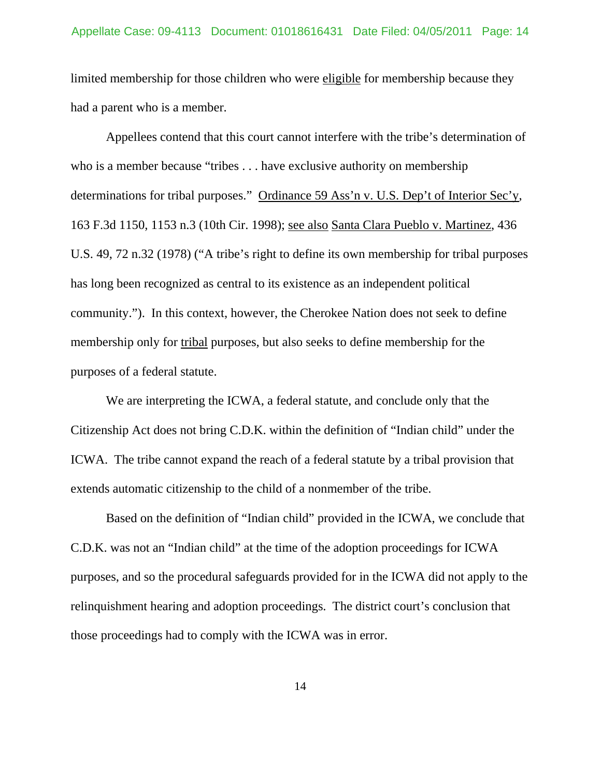limited membership for those children who were eligible for membership because they had a parent who is a member.

 Appellees contend that this court cannot interfere with the tribe's determination of who is a member because "tribes . . . have exclusive authority on membership determinations for tribal purposes." Ordinance 59 Ass'n v. U.S. Dep't of Interior Sec'y, 163 F.3d 1150, 1153 n.3 (10th Cir. 1998); see also Santa Clara Pueblo v. Martinez, 436 U.S. 49, 72 n.32 (1978) ("A tribe's right to define its own membership for tribal purposes has long been recognized as central to its existence as an independent political community."). In this context, however, the Cherokee Nation does not seek to define membership only for tribal purposes, but also seeks to define membership for the purposes of a federal statute.

 We are interpreting the ICWA, a federal statute, and conclude only that the Citizenship Act does not bring C.D.K. within the definition of "Indian child" under the ICWA. The tribe cannot expand the reach of a federal statute by a tribal provision that extends automatic citizenship to the child of a nonmember of the tribe.

 Based on the definition of "Indian child" provided in the ICWA, we conclude that C.D.K. was not an "Indian child" at the time of the adoption proceedings for ICWA purposes, and so the procedural safeguards provided for in the ICWA did not apply to the relinquishment hearing and adoption proceedings. The district court's conclusion that those proceedings had to comply with the ICWA was in error.

14